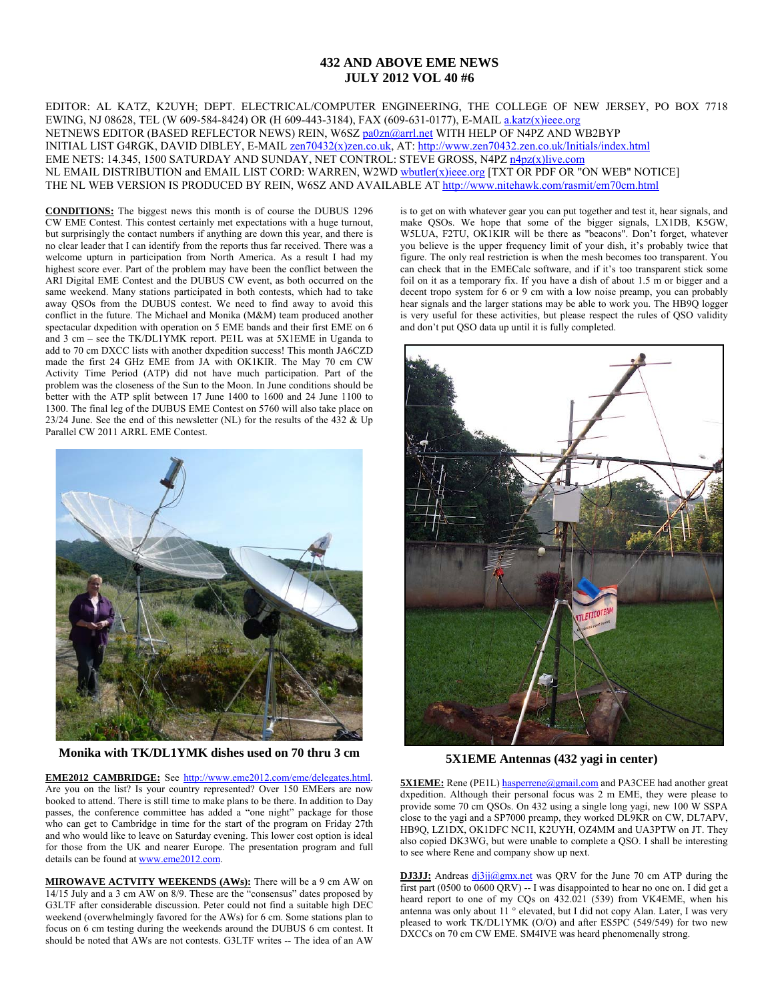### **432 AND ABOVE EME NEWS JULY 2012 VOL 40 #6**

EDITOR: AL KATZ, K2UYH; DEPT. ELECTRICAL/COMPUTER ENGINEERING, THE COLLEGE OF NEW JERSEY, PO BOX 7718 EWING, NJ 08628, TEL (W 609-584-8424) OR (H 609-443-3184), FAX (609-631-0177), E-MAIL a.katz(x)ieee.org NETNEWS EDITOR (BASED REFLECTOR NEWS) REIN, W6SZ pa0zn@arrl.net WITH HELP OF N4PZ AND WB2BYP INITIAL LIST G4RGK, DAVID DIBLEY, E-MAIL zen70432(x)zen.co.uk, AT: http://www.zen70432.zen.co.uk/Initials/index.html EME NETS: 14.345, 1500 SATURDAY AND SUNDAY, NET CONTROL: STEVE GROSS, N4PZ n4pz(x)live.com NL EMAIL DISTRIBUTION and EMAIL LIST CORD: WARREN, W2WD wbutler(x)ieee.org [TXT OR PDF OR "ON WEB" NOTICE] THE NL WEB VERSION IS PRODUCED BY REIN, W6SZ AND AVAILABLE AT http://www.nitehawk.com/rasmit/em70cm.html

**CONDITIONS:** The biggest news this month is of course the DUBUS 1296 CW EME Contest. This contest certainly met expectations with a huge turnout, but surprisingly the contact numbers if anything are down this year, and there is no clear leader that I can identify from the reports thus far received. There was a welcome upturn in participation from North America. As a result I had my highest score ever. Part of the problem may have been the conflict between the ARI Digital EME Contest and the DUBUS CW event, as both occurred on the same weekend. Many stations participated in both contests, which had to take away QSOs from the DUBUS contest. We need to find away to avoid this conflict in the future. The Michael and Monika (M&M) team produced another spectacular dxpedition with operation on 5 EME bands and their first EME on 6 and 3 cm – see the TK/DL1YMK report. PE1L was at 5X1EME in Uganda to add to 70 cm DXCC lists with another dxpedition success! This month JA6CZD made the first 24 GHz EME from JA with OK1KIR. The May 70 cm CW Activity Time Period (ATP) did not have much participation. Part of the problem was the closeness of the Sun to the Moon. In June conditions should be better with the ATP split between 17 June 1400 to 1600 and 24 June 1100 to 1300. The final leg of the DUBUS EME Contest on 5760 will also take place on 23/24 June. See the end of this newsletter (NL) for the results of the 432  $\&$  Up Parallel CW 2011 ARRL EME Contest.



**Monika with TK/DL1YMK dishes used on 70 thru 3 cm** 

**EME2012 CAMBRIDGE:** See http://www.eme2012.com/eme/delegates.html. Are you on the list? Is your country represented? Over 150 EMEers are now booked to attend. There is still time to make plans to be there. In addition to Day passes, the conference committee has added a "one night" package for those who can get to Cambridge in time for the start of the program on Friday 27th and who would like to leave on Saturday evening. This lower cost option is ideal for those from the UK and nearer Europe. The presentation program and full details can be found at www.eme2012.com.

**MIROWAVE ACTVITY WEEKENDS (AWs):** There will be a 9 cm AW on 14/15 July and a 3 cm AW on 8/9. These are the "consensus" dates proposed by G3LTF after considerable discussion. Peter could not find a suitable high DEC weekend (overwhelmingly favored for the AWs) for 6 cm. Some stations plan to focus on 6 cm testing during the weekends around the DUBUS 6 cm contest. It should be noted that AWs are not contests. G3LTF writes -- The idea of an AW

is to get on with whatever gear you can put together and test it, hear signals, and make QSOs. We hope that some of the bigger signals, LX1DB, K5GW, W5LUA, F2TU, OK1KIR will be there as "beacons". Don't forget, whatever you believe is the upper frequency limit of your dish, it's probably twice that figure. The only real restriction is when the mesh becomes too transparent. You can check that in the EMECalc software, and if it's too transparent stick some foil on it as a temporary fix. If you have a dish of about 1.5 m or bigger and a decent tropo system for 6 or 9 cm with a low noise preamp, you can probably hear signals and the larger stations may be able to work you. The HB9Q logger is very useful for these activities, but please respect the rules of QSO validity and don't put QSO data up until it is fully completed.



**5X1EME Antennas (432 yagi in center)** 

**5X1EME:** Rene (PE1L) hasperrene@gmail.com and PA3CEE had another great dxpedition. Although their personal focus was 2 m EME, they were please to provide some 70 cm QSOs. On 432 using a single long yagi, new 100 W SSPA close to the yagi and a SP7000 preamp, they worked DL9KR on CW, DL7APV, HB9Q, LZ1DX, OK1DFC NC1I, K2UYH, OZ4MM and UA3PTW on JT. They also copied DK3WG, but were unable to complete a QSO. I shall be interesting to see where Rene and company show up next.

**DJ3JJ:** Andreas dj3jj@gmx.net was QRV for the June 70 cm ATP during the first part (0500 to 0600 QRV)  $-$  I was disappointed to hear no one on. I did get a heard report to one of my CQs on 432.021 (539) from VK4EME, when his antenna was only about 11 ° elevated, but I did not copy Alan. Later, I was very pleased to work TK/DL1YMK (O/O) and after ES5PC (549/549) for two new DXCCs on 70 cm CW EME. SM4IVE was heard phenomenally strong.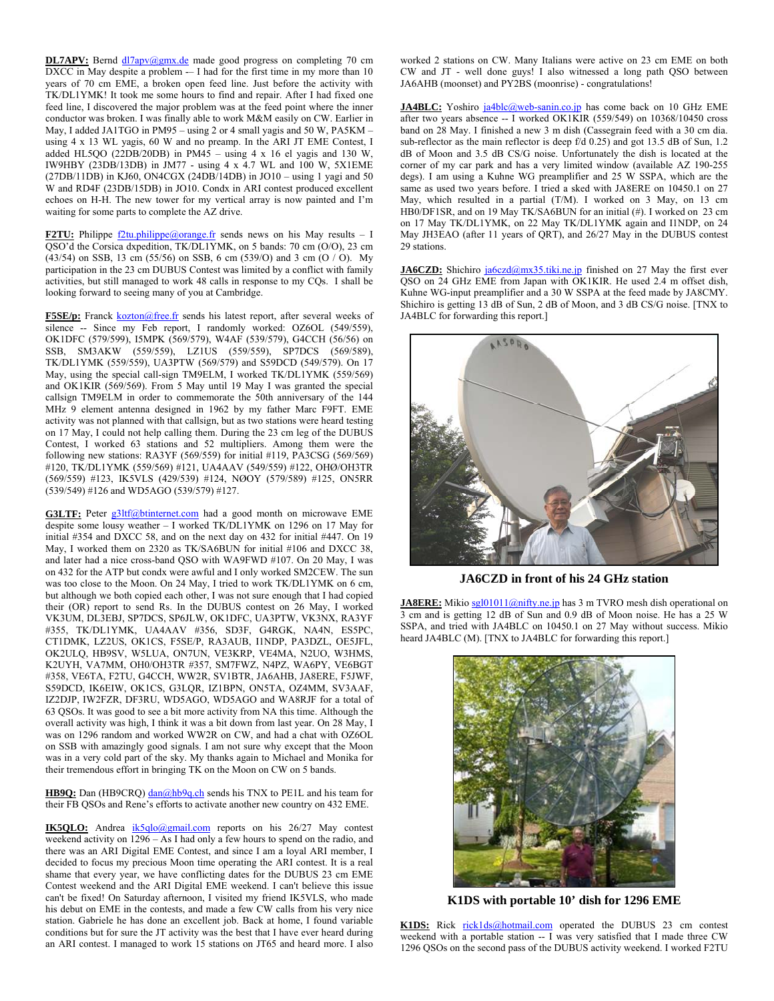**DL7APV:** Bernd  $\frac{dl7apv}{Qgmx.de}$  made good progress on completing 70 cm  $\overline{\text{DXCC}}$  in May despite a problem  $-$  I had for the first time in my more than 10 years of 70 cm EME, a broken open feed line. Just before the activity with TK/DL1YMK! It took me some hours to find and repair. After I had fixed one feed line, I discovered the major problem was at the feed point where the inner conductor was broken. I was finally able to work M&M easily on CW. Earlier in May, I added JA1TGO in PM95 – using 2 or 4 small yagis and 50 W, PA5KM – using 4 x 13 WL yagis, 60 W and no preamp. In the ARI JT EME Contest, I added HL5QO (22DB/20DB) in PM45 – using  $4 \times 16$  el yagis and 130 W, IW9HBY (23DB/13DB) in JM77 - using 4 x 4.7 WL and 100 W, 5X1EME (27DB/11DB) in KJ60, ON4CGX (24DB/14DB) in JO10 – using 1 yagi and 50 W and RD4F (23DB/15DB) in JO10. Condx in ARI contest produced excellent echoes on H-H. The new tower for my vertical array is now painted and I'm waiting for some parts to complete the AZ drive.

**F2TU:** Philippe  $\frac{f2 \text{tu} \cdot \text{philippe}(Q) \text{orange} \cdot \text{fr}}{Q}$  results = I QSO'd the Corsica dxpedition, TK/DL1YMK, on 5 bands: 70 cm (O/O), 23 cm (43/54) on SSB, 13 cm (55/56) on SSB, 6 cm (539/O) and 3 cm (O / O). My participation in the 23 cm DUBUS Contest was limited by a conflict with family activities, but still managed to work 48 calls in response to my CQs. I shall be looking forward to seeing many of you at Cambridge.

F5SE/p: Franck kozton@free.fr sends his latest report, after several weeks of silence -- Since my Feb report, I randomly worked: OZ6OL (549/559), OK1DFC (579/599), I5MPK (569/579), W4AF (539/579), G4CCH (56/56) on SSB, SM3AKW (559/559), LZ1US (559/559), SP7DCS (569/589), TK/DL1YMK (559/559), UA3PTW (569/579) and S59DCD (549/579). On 17 May, using the special call-sign TM9ELM, I worked TK/DL1YMK (559/569) and OK1KIR (569/569). From 5 May until 19 May I was granted the special callsign TM9ELM in order to commemorate the 50th anniversary of the 144 MHz 9 element antenna designed in 1962 by my father Marc F9FT. EME activity was not planned with that callsign, but as two stations were heard testing on 17 May, I could not help calling them. During the 23 cm leg of the DUBUS Contest, I worked 63 stations and 52 multipliers. Among them were the following new stations: RA3YF (569/559) for initial #119, PA3CSG (569/569) #120, TK/DL1YMK (559/569) #121, UA4AAV (549/559) #122, OHØ/OH3TR (569/559) #123, IK5VLS (429/539) #124, NØOY (579/589) #125, ON5RR (539/549) #126 and WD5AGO (539/579) #127.

G3LTF: Peter g3ltf@btinternet.com had a good month on microwave EME despite some lousy weather – I worked TK/DL1YMK on 1296 on 17 May for initial #354 and DXCC 58, and on the next day on 432 for initial #447. On 19 May, I worked them on 2320 as TK/SA6BUN for initial #106 and DXCC 38, and later had a nice cross-band QSO with WA9FWD #107. On 20 May, I was on 432 for the ATP but condx were awful and I only worked SM2CEW. The sun was too close to the Moon. On 24 May, I tried to work TK/DL1YMK on 6 cm, but although we both copied each other, I was not sure enough that I had copied their (OR) report to send Rs. In the DUBUS contest on 26 May, I worked VK3UM, DL3EBJ, SP7DCS, SP6JLW, OK1DFC, UA3PTW, VK3NX, RA3YF #355, TK/DL1YMK, UA4AAV #356, SD3F, G4RGK, NA4N, ES5PC, CT1DMK, LZ2US, OK1CS, F5SE/P, RA3AUB, I1NDP, PA3DZL, OE5JFL, OK2ULQ, HB9SV, W5LUA, ON7UN, VE3KRP, VE4MA, N2UO, W3HMS, K2UYH, VA7MM, OH0/OH3TR #357, SM7FWZ, N4PZ, WA6PY, VE6BGT #358, VE6TA, F2TU, G4CCH, WW2R, SV1BTR, JA6AHB, JA8ERE, F5JWF, S59DCD, IK6EIW, OK1CS, G3LQR, IZ1BPN, ON5TA, OZ4MM, SV3AAF, IZ2DJP, IW2FZR, DF3RU, WD5AGO, WD5AGO and WA8RJF for a total of 63 QSOs. It was good to see a bit more activity from NA this time. Although the overall activity was high, I think it was a bit down from last year. On 28 May, I was on 1296 random and worked WW2R on CW, and had a chat with OZ6OL on SSB with amazingly good signals. I am not sure why except that the Moon was in a very cold part of the sky. My thanks again to Michael and Monika for their tremendous effort in bringing TK on the Moon on CW on 5 bands.

HB9Q: Dan (HB9CRQ) dan@hb9q.ch sends his TNX to PE1L and his team for their FB QSOs and Rene's efforts to activate another new country on 432 EME.

**IK5QLO:** Andrea ik5qlo@gmail.com reports on his 26/27 May contest weekend activity on 1296 – As I had only a few hours to spend on the radio, and there was an ARI Digital EME Contest, and since I am a loyal ARI member, I decided to focus my precious Moon time operating the ARI contest. It is a real shame that every year, we have conflicting dates for the DUBUS 23 cm EME Contest weekend and the ARI Digital EME weekend. I can't believe this issue can't be fixed! On Saturday afternoon, I visited my friend IK5VLS, who made his debut on EME in the contests, and made a few CW calls from his very nice station. Gabriele he has done an excellent job. Back at home, I found variable conditions but for sure the JT activity was the best that I have ever heard during an ARI contest. I managed to work 15 stations on JT65 and heard more. I also

worked 2 stations on CW. Many Italians were active on 23 cm EME on both CW and JT - well done guys! I also witnessed a long path QSO between JA6AHB (moonset) and PY2BS (moonrise) - congratulations!

**JA4BLC:** Yoshiro ja4blc@web-sanin.co.jp has come back on 10 GHz EME after two years absence -- I worked OK1KIR (559/549) on 10368/10450 cross band on 28 May. I finished a new 3 m dish (Cassegrain feed with a 30 cm dia. sub-reflector as the main reflector is deep f/d 0.25) and got 13.5 dB of Sun, 1.2 dB of Moon and 3.5 dB CS/G noise. Unfortunately the dish is located at the corner of my car park and has a very limited window (available AZ 190-255 degs). I am using a Kuhne WG preamplifier and 25 W SSPA, which are the same as used two years before. I tried a sked with JA8ERE on 10450.1 on 27 May, which resulted in a partial (T/M). I worked on 3 May, on 13 cm HB0/DF1SR, and on 19 May TK/SA6BUN for an initial (#). I worked on 23 cm on 17 May TK/DL1YMK, on 22 May TK/DL1YMK again and I1NDP, on 24 May JH3EAO (after 11 years of QRT), and 26/27 May in the DUBUS contest 29 stations.

**JA6CZD:** Shichiro ja6czd@mx35.tiki.ne.jp finished on 27 May the first ever QSO on 24 GHz EME from Japan with OK1KIR. He used 2.4 m offset dish, Kuhne WG-input preamplifier and a 30 W SSPA at the feed made by JA8CMY. Shichiro is getting 13 dB of Sun, 2 dB of Moon, and 3 dB CS/G noise. [TNX to JA4BLC for forwarding this report.]



**JA6CZD in front of his 24 GHz station** 

**JA8ERE:** Mikio sgl01011@nifty.ne.jp has 3 m TVRO mesh dish operational on 3 cm and is getting 12 dB of Sun and 0.9 dB of Moon noise. He has a 25 W SSPA, and tried with JA4BLC on 10450.1 on 27 May without success. Mikio heard JA4BLC (M). [TNX to JA4BLC for forwarding this report.]



**K1DS with portable 10' dish for 1296 EME** 

**K1DS:** Rick rick1ds@hotmail.com operated the DUBUS 23 cm contest weekend with a portable station -- I was very satisfied that I made three CW 1296 QSOs on the second pass of the DUBUS activity weekend. I worked F2TU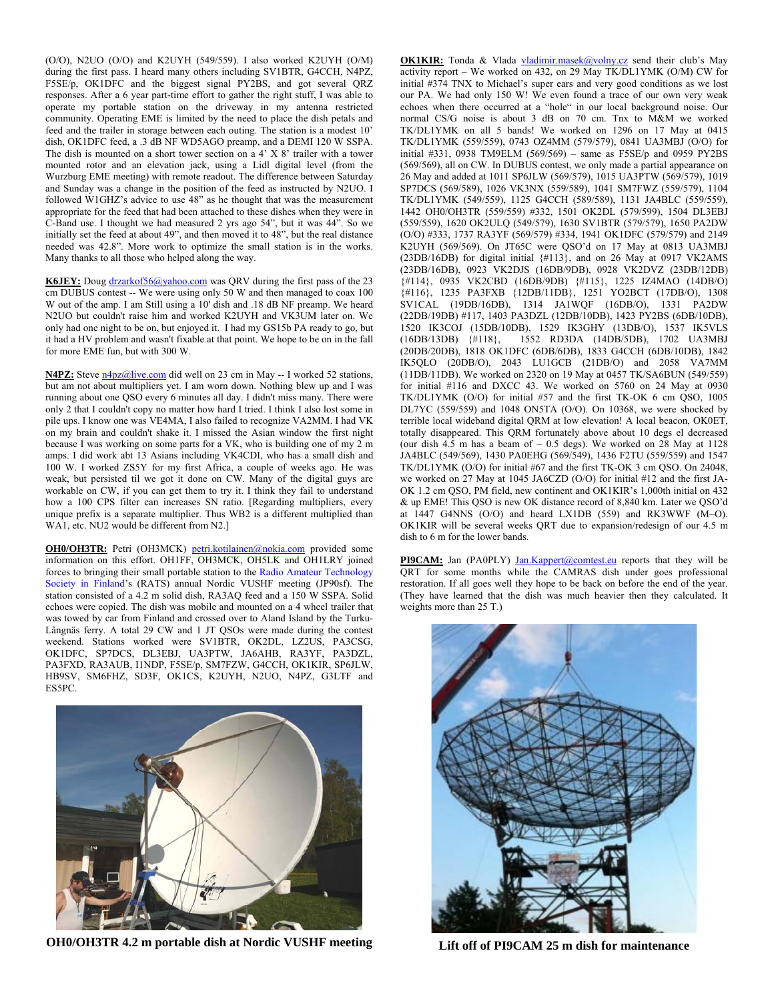(O/O), N2UO (O/O) and K2UYH (549/559). I also worked K2UYH (O/M) during the first pass. I heard many others including SV1BTR, G4CCH, N4PZ, F5SE/p, OK1DFC and the biggest signal PY2BS, and got several QRZ responses. After a 6 year part-time effort to gather the right stuff, I was able to operate my portable station on the driveway in my antenna restricted community. Operating EME is limited by the need to place the dish petals and feed and the trailer in storage between each outing. The station is a modest 10' dish, OK1DFC feed, a .3 dB NF WD5AGO preamp, and a DEMI 120 W SSPA. The dish is mounted on a short tower section on a 4' X 8' trailer with a tower mounted rotor and an elevation jack, using a Lidl digital level (from the Wurzburg EME meeting) with remote readout. The difference between Saturday and Sunday was a change in the position of the feed as instructed by N2UO. I followed W1GHZ's advice to use 48" as he thought that was the measurement appropriate for the feed that had been attached to these dishes when they were in C-Band use. I thought we had measured 2 yrs ago 54", but it was 44". So we initially set the feed at about 49", and then moved it to 48", but the real distance needed was 42.8". More work to optimize the small station is in the works. Many thanks to all those who helped along the way.

**K6JEY:** Doug drzarkof56@yahoo.com was QRV during the first pass of the 23 cm DUBUS contest -- We were using only 50 W and then managed to coax 100 W out of the amp. I am Still using a 10' dish and .18 dB NF preamp. We heard N2UO but couldn't raise him and worked K2UYH and VK3UM later on. We only had one night to be on, but enjoyed it. I had my GS15b PA ready to go, but it had a HV problem and wasn't fixable at that point. We hope to be on in the fall for more EME fun, but with 300 W.

**N4PZ:** Steve n4pz@live.com did well on 23 cm in May -- I worked 52 stations, but am not about multipliers yet. I am worn down. Nothing blew up and I was running about one QSO every 6 minutes all day. I didn't miss many. There were only 2 that I couldn't copy no matter how hard I tried. I think I also lost some in pile ups. I know one was VE4MA, I also failed to recognize VA2MM. I had VK on my brain and couldn't shake it. I missed the Asian window the first night because I was working on some parts for a VK, who is building one of my 2 m amps. I did work abt 13 Asians including VK4CDI, who has a small dish and 100 W. I worked ZS5Y for my first Africa, a couple of weeks ago. He was weak, but persisted til we got it done on CW. Many of the digital guys are workable on CW, if you can get them to try it. I think they fail to understand how a 100 CPS filter can increases SN ratio. [Regarding multipliers, every unique prefix is a separate multiplier. Thus WB2 is a different multiplied than WA1, etc. NU2 would be different from N2.]

**OH0/OH3TR:** Petri (OH3MCK) petri.kotilainen@nokia.com provided some information on this effort. OH1FF, OH3MCK, OH5LK and OH1LRY joined forces to bringing their small portable station to the Radio Amateur Technology Society in Finland's (RATS) annual Nordic VUSHF meeting (JP90sf). The station consisted of a 4.2 m solid dish, RA3AQ feed and a 150 W SSPA. Solid echoes were copied. The dish was mobile and mounted on a 4 wheel trailer that was towed by car from Finland and crossed over to Aland Island by the Turku-Långnäs ferry. A total 29 CW and 1 JT QSOs were made during the contest weekend. Stations worked were SV1BTR, OK2DL, LZ2US, PA3CSG, OK1DFC, SP7DCS, DL3EBJ, UA3PTW, JA6AHB, RA3YF, PA3DZL, PA3FXD, RA3AUB, I1NDP, F5SE/p, SM7FZW, G4CCH, OK1KIR, SP6JLW, HB9SV, SM6FHZ, SD3F, OK1CS, K2UYH, N2UO, N4PZ, G3LTF and ES5PC.



**OH0/OH3TR 4.2 m portable dish at Nordic VUSHF meeting** 

**OK1KIR:** Tonda & Vlada vladimir.masek@volny.cz send their club's May activity report – We worked on 432, on 29 May TK/DL1YMK (O/M) CW for initial #374 TNX to Michael's super ears and very good conditions as we lost our PA. We had only 150 W! We even found a trace of our own very weak echoes when there occurred at a "hole" in our local background noise. Our normal CS/G noise is about 3 dB on 70 cm. Tnx to M&M we worked TK/DL1YMK on all 5 bands! We worked on 1296 on 17 May at 0415 TK/DL1YMK (559/559), 0743 OZ4MM (579/579), 0841 UA3MBJ (O/O) for initial #331, 0938 TM9ELM (569/569) – same as F5SE/p and 0959 PY2BS (569/569), all on CW. In DUBUS contest, we only made a partial appearance on 26 May and added at 1011 SP6JLW (569/579), 1015 UA3PTW (569/579), 1019 SP7DCS (569/589), 1026 VK3NX (559/589), 1041 SM7FWZ (559/579), 1104 TK/DL1YMK (549/559), 1125 G4CCH (589/589), 1131 JA4BLC (559/559), 1442 OH0/OH3TR (559/559) #332, 1501 OK2DL (579/599), 1504 DL3EBJ (559/559), 1620 OK2ULQ (549/579), 1630 SV1BTR (579/579), 1650 PA2DW (O/O) #333, 1737 RA3YF (569/579) #334, 1941 OK1DFC (579/579) and 2149 K2UYH (569/569). On JT65C were QSO'd on 17 May at 0813 UA3MBJ (23DB/16DB) for digital initial {#113}, and on 26 May at 0917 VK2AMS (23DB/16DB), 0923 VK2DJS (16DB/9DB), 0928 VK2DVZ (23DB/12DB) {#114}, 0935 VK2CBD (16DB/9DB) {#115}, 1225 IZ4MAO (14DB/O) {#116}, 1235 PA3FXB {12DB/11DB}, 1251 YO2BCT (17DB/O), 1308 SV1CAL (19DB/16DB), 1314 JA1WQF (16DB/O), 1331 PA2DW (22DB/19DB) #117, 1403 PA3DZL (12DB/10DB), 1423 PY2BS (6DB/10DB), 1520 IK3COJ (15DB/10DB), 1529 IK3GHY (13DB/O), 1537 IK5VLS (16DB/13DB) {#118}, 1552 RD3DA (14DB/5DB), 1702 UA3MBJ (20DB/20DB), 1818 OK1DFC (6DB/6DB), 1833 G4CCH (6DB/10DB), 1842 IK5QLO (20DB/O), 2043 LU1GCB (21DB/O) and 2058 VA7MM (11DB/11DB). We worked on 2320 on 19 May at 0457 TK/SA6BUN (549/559) for initial #116 and DXCC 43. We worked on 5760 on 24 May at 0930 TK/DL1YMK (O/O) for initial #57 and the first TK-OK 6 cm QSO, 1005 DL7YC (559/559) and 1048 ON5TA (O/O). On 10368, we were shocked by terrible local wideband digital QRM at low elevation! A local beacon, OK0ET, totally disappeared. This QRM fortunately above about 10 degs el decreased (our dish  $4.\overline{5}$  m has a beam of  $\sim 0.5$  degs). We worked on 28 May at 1128 JA4BLC (549/569), 1430 PA0EHG (569/549), 1436 F2TU (559/559) and 1547 TK/DL1YMK (O/O) for initial #67 and the first TK-OK 3 cm QSO. On 24048, we worked on 27 May at 1045 JA6CZD (O/O) for initial #12 and the first JA-OK 1.2 cm QSO, PM field, new continent and OK1KIR's 1,000th initial on 432 & up EME! This QSO is new OK distance record of 8,840 km. Later we QSO'd at 1447 G4NNS (O/O) and heard LX1DB (559) and RK3WWF (M~O). OK1KIR will be several weeks QRT due to expansion/redesign of our 4.5 m dish to 6 m for the lower bands.

**PI9CAM:** Jan (PA0PLY) Jan.Kappert@comtest.eu reports that they will be QRT for some months while the CAMRAS dish under goes professional restoration. If all goes well they hope to be back on before the end of the year. (They have learned that the dish was much heavier then they calculated. It weights more than 25 T.)



**Lift off of PI9CAM 25 m dish for maintenance**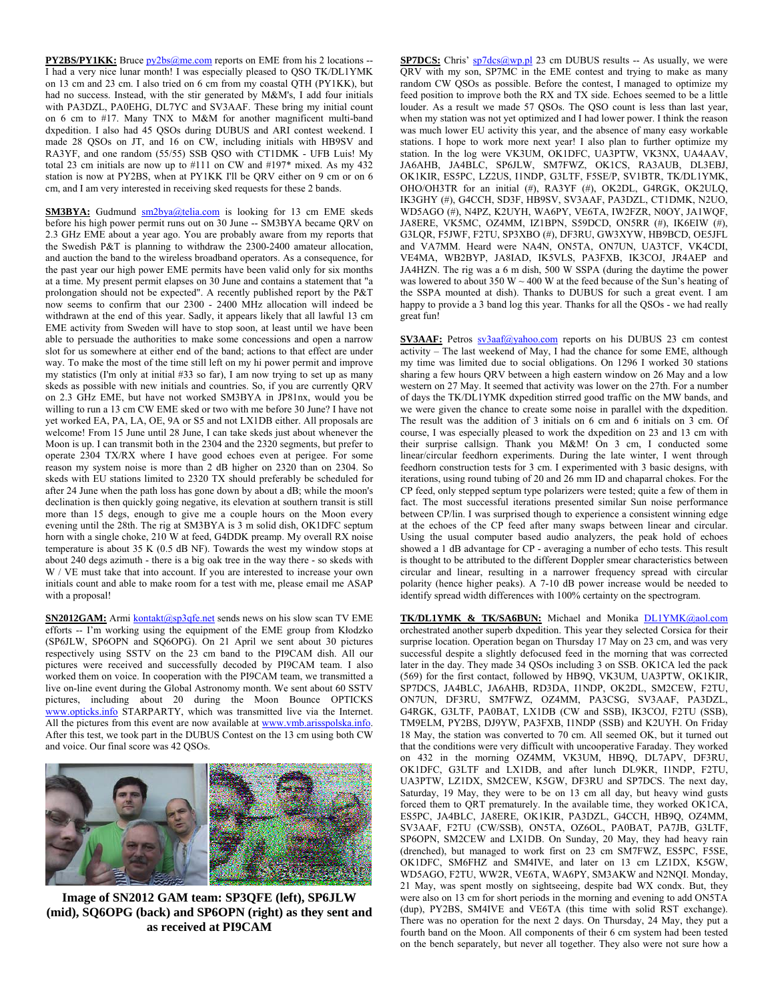**PY2BS/PY1KK:** Bruce  $pv2bs@me.com$  reports on EME from his 2 locations --I had a very nice lunar month! I was especially pleased to QSO TK/DL1YMK on 13 cm and 23 cm. I also tried on 6 cm from my coastal QTH (PY1KK), but had no success. Instead, with the stir generated by M&M's, I add four initials with PA3DZL, PA0EHG, DL7YC and SV3AAF. These bring my initial count on 6 cm to #17. Many TNX to M&M for another magnificent multi-band dxpedition. I also had 45 QSOs during DUBUS and ARI contest weekend. I made 28 QSOs on JT, and 16 on CW, including initials with HB9SV and RA3YF, and one random (55/55) SSB QSO with CT1DMK - UFB Luis! My total 23 cm initials are now up to #111 on CW and #197\* mixed. As my 432 station is now at PY2BS, when at PY1KK I'll be QRV either on 9 cm or on 6 cm, and I am very interested in receiving sked requests for these 2 bands.

**SM3BYA:** Gudmund  $\frac{\text{sm2bya@telia.com}}{\text{s}^{2}}$  is looking for 13 cm EME skeds before his high power permit runs out on 30 June -- SM3BYA became QRV on 2.3 GHz EME about a year ago. You are probably aware from my reports that the Swedish P&T is planning to withdraw the 2300-2400 amateur allocation, and auction the band to the wireless broadband operators. As a consequence, for the past year our high power EME permits have been valid only for six months at a time. My present permit elapses on 30 June and contains a statement that "a prolongation should not be expected". A recently published report by the P&T now seems to confirm that our 2300 - 2400 MHz allocation will indeed be withdrawn at the end of this year. Sadly, it appears likely that all lawful 13 cm EME activity from Sweden will have to stop soon, at least until we have been able to persuade the authorities to make some concessions and open a narrow slot for us somewhere at either end of the band; actions to that effect are under way. To make the most of the time still left on my hi power permit and improve my statistics (I'm only at initial #33 so far), I am now trying to set up as many skeds as possible with new initials and countries. So, if you are currently QRV on 2.3 GHz EME, but have not worked SM3BYA in JP81nx, would you be willing to run a 13 cm CW EME sked or two with me before 30 June? I have not yet worked EA, PA, LA, OE, 9A or S5 and not LX1DB either. All proposals are welcome! From 15 June until 28 June, I can take skeds just about whenever the Moon is up. I can transmit both in the 2304 and the 2320 segments, but prefer to operate 2304 TX/RX where I have good echoes even at perigee. For some reason my system noise is more than 2 dB higher on 2320 than on 2304. So skeds with EU stations limited to 2320 TX should preferably be scheduled for after 24 June when the path loss has gone down by about a dB; while the moon's declination is then quickly going negative, its elevation at southern transit is still more than 15 degs, enough to give me a couple hours on the Moon every evening until the 28th. The rig at SM3BYA is 3 m solid dish, OK1DFC septum horn with a single choke, 210 W at feed, G4DDK preamp. My overall RX noise temperature is about 35 K (0.5 dB NF). Towards the west my window stops at about 240 degs azimuth - there is a big oak tree in the way there - so skeds with W / VE must take that into account. If you are interested to increase your own initials count and able to make room for a test with me, please email me ASAP with a proposal!

**SN2012GAM:** Armi kontakt@sp3qfe.net sends news on his slow scan TV EME efforts -- I'm working using the equipment of the EME group from Kłodzko (SP6JLW, SP6OPN and SQ6OPG). On 21 April we sent about 30 pictures respectively using SSTV on the 23 cm band to the PI9CAM dish. All our pictures were received and successfully decoded by PI9CAM team. I also worked them on voice. In cooperation with the PI9CAM team, we transmitted a live on-line event during the Global Astronomy month. We sent about 60 SSTV pictures, including about 20 during the Moon Bounce OPTICKS www.opticks.info STARPARTY, which was transmitted live via the Internet. All the pictures from this event are now available at www.vmb.arisspolska.info. After this test, we took part in the DUBUS Contest on the 13 cm using both CW and voice. Our final score was 42 QSOs.



**Image of SN2012 GAM team: SP3QFE (left), SP6JLW (mid), SQ6OPG (back) and SP6OPN (right) as they sent and as received at PI9CAM** 

**SP7DCS:** Chris' sp7dcs@wp.pl 23 cm DUBUS results -- As usually, we were QRV with my son, SP7MC in the EME contest and trying to make as many random CW QSOs as possible. Before the contest, I managed to optimize my feed position to improve both the RX and TX side. Echoes seemed to be a little louder. As a result we made 57 QSOs. The QSO count is less than last year, when my station was not yet optimized and I had lower power. I think the reason was much lower EU activity this year, and the absence of many easy workable stations. I hope to work more next year! I also plan to further optimize my station. In the log were VK3UM, OK1DFC, UA3PTW, VK3NX, UA4AAV, JA6AHB, JA4BLC, SP6JLW, SM7FWZ, OK1CS, RA3AUB, DL3EBJ, OK1KIR, ES5PC, LZ2US, I1NDP, G3LTF, F5SE/P, SV1BTR, TK/DL1YMK, OHO/OH3TR for an initial (#), RA3YF (#), OK2DL, G4RGK, OK2ULQ, IK3GHY (#), G4CCH, SD3F, HB9SV, SV3AAF, PA3DZL, CT1DMK, N2UO, WD5AGO (#), N4PZ, K2UYH, WA6PY, VE6TA, IW2FZR, N0OY, JA1WQF, JA8ERE, VK5MC, OZ4MM, IZ1BPN, S59DCD, ON5RR (#), IK6EIW (#), G3LQR, F5JWF, F2TU, SP3XBO (#), DF3RU, GW3XYW, HB9BCD, OE5JFL and VA7MM. Heard were NA4N, ON5TA, ON7UN, UA3TCF, VK4CDI, VE4MA, WB2BYP, JA8IAD, IK5VLS, PA3FXB, IK3COJ, JR4AEP and JA4HZN. The rig was a 6 m dish, 500 W SSPA (during the daytime the power was lowered to about 350 W  $\sim$  400 W at the feed because of the Sun's heating of the SSPA mounted at dish). Thanks to DUBUS for such a great event. I am happy to provide a 3 band log this year. Thanks for all the QSOs - we had really great fun!

**SV3AAF:** Petros  $sv3aa$ f@yahoo.com reports on his DUBUS 23 cm contest activity – The last weekend of May, I had the chance for some EME, although my time was limited due to social obligations. On 1296 I worked 30 stations sharing a few hours QRV between a high eastern window on 26 May and a low western on 27 May. It seemed that activity was lower on the 27th. For a number of days the TK/DL1YMK dxpedition stirred good traffic on the MW bands, and we were given the chance to create some noise in parallel with the dxpedition. The result was the addition of 3 initials on 6 cm and 6 initials on 3 cm. Of course, I was especially pleased to work the dxpedition on 23 and 13 cm with their surprise callsign. Thank you M&M! On 3 cm, I conducted some linear/circular feedhorn experiments. During the late winter, I went through feedhorn construction tests for 3 cm. I experimented with 3 basic designs, with iterations, using round tubing of 20 and 26 mm ID and chaparral chokes. For the CP feed, only stepped septum type polarizers were tested; quite a few of them in fact. The most successful iterations presented similar Sun noise performance between CP/lin. I was surprised though to experience a consistent winning edge at the echoes of the CP feed after many swaps between linear and circular. Using the usual computer based audio analyzers, the peak hold of echoes showed a 1 dB advantage for CP - averaging a number of echo tests. This result is thought to be attributed to the different Doppler smear characteristics between circular and linear, resulting in a narrower frequency spread with circular polarity (hence higher peaks). A 7-10 dB power increase would be needed to identify spread width differences with 100% certainty on the spectrogram.

**TK/DL1YMK & TK/SA6BUN:** Michael and Monika DL1YMK@aol.com orchestrated another superb dxpedition. This year they selected Corsica for their surprise location. Operation began on Thursday 17 May on 23 cm, and was very successful despite a slightly defocused feed in the morning that was corrected later in the day. They made 34 QSOs including 3 on SSB. OK1CA led the pack (569) for the first contact, followed by HB9Q, VK3UM, UA3PTW, OK1KIR, SP7DCS, JA4BLC, JA6AHB, RD3DA, I1NDP, OK2DL, SM2CEW, F2TU, ON7UN, DF3RU, SM7FWZ, OZ4MM, PA3CSG, SV3AAF, PA3DZL, G4RGK, G3LTF, PA0BAT, LX1DB (CW and SSB), IK3COJ, F2TU (SSB), TM9ELM, PY2BS, DJ9YW, PA3FXB, I1NDP (SSB) and K2UYH. On Friday 18 May, the station was converted to 70 cm. All seemed OK, but it turned out that the conditions were very difficult with uncooperative Faraday. They worked on 432 in the morning OZ4MM, VK3UM, HB9Q, DL7APV, DF3RU, OK1DFC, G3LTF and LX1DB, and after lunch DL9KR, I1NDP, F2TU, UA3PTW, LZ1DX, SM2CEW, K5GW, DF3RU and SP7DCS. The next day, Saturday, 19 May, they were to be on 13 cm all day, but heavy wind gusts forced them to QRT prematurely. In the available time, they worked OK1CA, ES5PC, JA4BLC, JA8ERE, OK1KIR, PA3DZL, G4CCH, HB9Q, OZ4MM, SV3AAF, F2TU (CW/SSB), ON5TA, OZ6OL, PA0BAT, PA7JB, G3LTF, SP6OPN, SM2CEW and LX1DB. On Sunday, 20 May, they had heavy rain (drenched), but managed to work first on 23 cm SM7FWZ, ES5PC, F5SE, OK1DFC, SM6FHZ and SM4IVE, and later on 13 cm LZ1DX, K5GW, WD5AGO, F2TU, WW2R, VE6TA, WA6PY, SM3AKW and N2NQI. Monday, 21 May, was spent mostly on sightseeing, despite bad WX condx. But, they were also on 13 cm for short periods in the morning and evening to add ON5TA (dup), PY2BS, SM4IVE and VE6TA (this time with solid RST exchange). There was no operation for the next 2 days. On Thursday, 24 May, they put a fourth band on the Moon. All components of their 6 cm system had been tested on the bench separately, but never all together. They also were not sure how a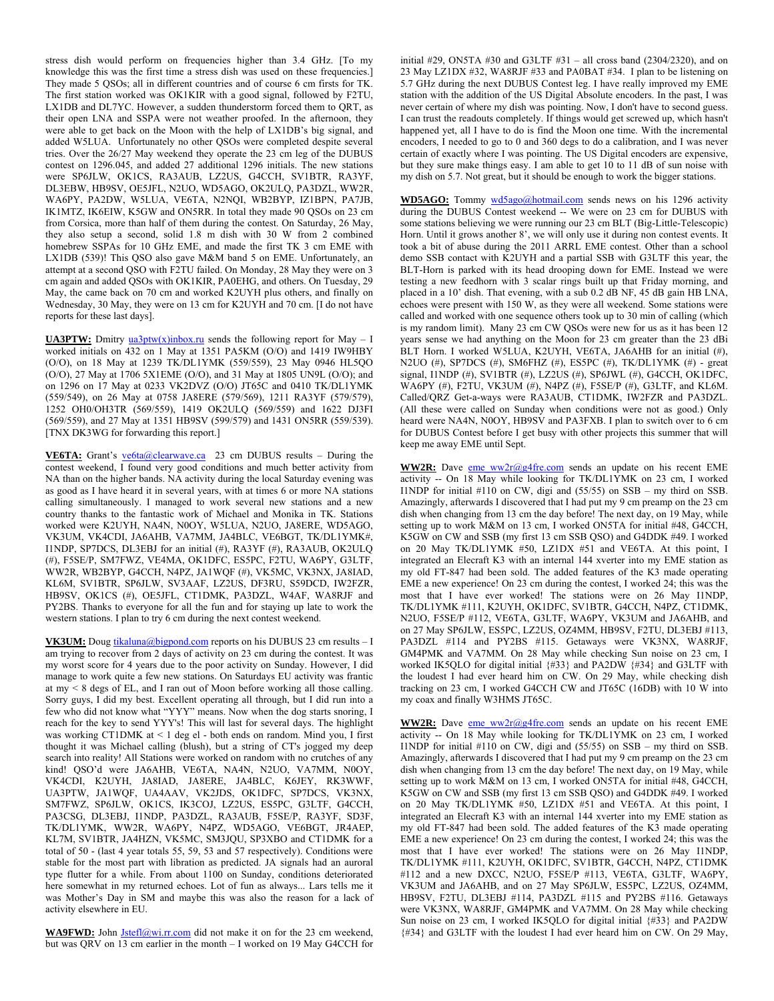stress dish would perform on frequencies higher than 3.4 GHz. [To my knowledge this was the first time a stress dish was used on these frequencies.] They made 5 QSOs; all in different countries and of course 6 cm firsts for TK. The first station worked was OK1KIR with a good signal, followed by F2TU, LX1DB and DL7YC. However, a sudden thunderstorm forced them to QRT, as their open LNA and SSPA were not weather proofed. In the afternoon, they were able to get back on the Moon with the help of LX1DB's big signal, and added W5LUA. Unfortunately no other QSOs were completed despite several tries. Over the 26/27 May weekend they operate the 23 cm leg of the DUBUS contest on 1296.045, and added 27 additional 1296 initials. The new stations were SP6JLW, OK1CS, RA3AUB, LZ2US, G4CCH, SV1BTR, RA3YF, DL3EBW, HB9SV, OE5JFL, N2UO, WD5AGO, OK2ULQ, PA3DZL, WW2R, WA6PY, PA2DW, W5LUA, VE6TA, N2NQI, WB2BYP, IZ1BPN, PA7JB, IK1MTZ, IK6EIW, K5GW and ON5RR. In total they made 90 QSOs on 23 cm from Corsica, more than half of them during the contest. On Saturday, 26 May, they also setup a second, solid 1.8 m dish with 30 W from 2 combined homebrew SSPAs for 10 GHz EME, and made the first TK 3 cm EME with LX1DB (539)! This QSO also gave M&M band 5 on EME. Unfortunately, an attempt at a second QSO with F2TU failed. On Monday, 28 May they were on 3 cm again and added QSOs with OK1KIR, PA0EHG, and others. On Tuesday, 29 May, the came back on 70 cm and worked K2UYH plus others, and finally on Wednesday, 30 May, they were on 13 cm for K2UYH and 70 cm. [I do not have reports for these last days].

**UA3PTW:** Dmitry  $\frac{u a 3p tw(x) \text{inbox.ru}}{u}$  sends the following report for May - I worked initials on 432 on 1 May at 1351 PA5KM (O/O) and 1419 IW9HBY (O/O), on 18 May at 1239 TK/DL1YMK (559/559), 23 May 0946 HL5QO (O/O), 27 May at 1706 5X1EME (O/O), and 31 May at 1805 UN9L (O/O); and on 1296 on 17 May at 0233 VK2DVZ (O/O) JT65C and 0410 TK/DL1YMK (559/549), on 26 May at 0758 JA8ERE (579/569), 1211 RA3YF (579/579), 1252 OH0/OH3TR (569/559), 1419 OK2ULQ (569/559) and 1622 DJ3FI (569/559), and 27 May at 1351 HB9SV (599/579) and 1431 ON5RR (559/539). [TNX DK3WG for forwarding this report.]

**VE6TA:** Grant's ve6ta@clearwave.ca 23 cm DUBUS results – During the contest weekend, I found very good conditions and much better activity from NA than on the higher bands. NA activity during the local Saturday evening was as good as I have heard it in several years, with at times 6 or more NA stations calling simultaneously. I managed to work several new stations and a new country thanks to the fantastic work of Michael and Monika in TK. Stations worked were K2UYH, NA4N, N0OY, W5LUA, N2UO, JA8ERE, WD5AGO, VK3UM, VK4CDI, JA6AHB, VA7MM, JA4BLC, VE6BGT, TK/DL1YMK#, I1NDP, SP7DCS, DL3EBJ for an initial (#), RA3YF (#), RA3AUB, OK2ULQ (#), F5SE/P, SM7FWZ, VE4MA, OK1DFC, ES5PC, F2TU, WA6PY, G3LTF, WW2R, WB2BYP, G4CCH, N4PZ, JA1WQF (#), VK5MC, VK3NX, JA8IAD, KL6M, SV1BTR, SP6JLW, SV3AAF, LZ2US, DF3RU, S59DCD, IW2FZR, HB9SV, OK1CS (#), OE5JFL, CT1DMK, PA3DZL, W4AF, WA8RJF and PY2BS. Thanks to everyone for all the fun and for staying up late to work the western stations. I plan to try 6 cm during the next contest weekend.

VK3UM: Doug tikaluna@bigpond.com reports on his DUBUS 23 cm results - I am trying to recover from 2 days of activity on 23 cm during the contest. It was my worst score for 4 years due to the poor activity on Sunday. However, I did manage to work quite a few new stations. On Saturdays EU activity was frantic at my < 8 degs of EL, and I ran out of Moon before working all those calling. Sorry guys, I did my best. Excellent operating all through, but I did run into a few who did not know what "YYY" means. Now when the dog starts snoring, I reach for the key to send YYY's! This will last for several days. The highlight was working CT1DMK at < 1 deg el - both ends on random. Mind you, I first thought it was Michael calling (blush), but a string of CT's jogged my deep search into reality! All Stations were worked on random with no crutches of any kind! QSO'd were JA6AHB, VE6TA, NA4N, N2UO, VA7MM, N0OY, VK4CDI, K2UYH, JA8IAD, JA8ERE, JA4BLC, K6JEY, RK3WWF, UA3PTW, JA1WQF, UA4AAV, VK2JDS, OK1DFC, SP7DCS, VK3NX, SM7FWZ, SP6JLW, OK1CS, IK3COJ, LZ2US, ES5PC, G3LTF, G4CCH, PA3CSG, DL3EBJ, I1NDP, PA3DZL, RA3AUB, F5SE/P, RA3YF, SD3F, TK/DL1YMK, WW2R, WA6PY, N4PZ, WD5AGO, VE6BGT, JR4AEP, KL7M, SV1BTR, JA4HZN, VK5MC, SM3JQU, SP3XBO and CT1DMK for a total of 50 - (last 4 year totals 55, 59, 53 and 57 respectively). Conditions were stable for the most part with libration as predicted. JA signals had an auroral type flutter for a while. From about 1100 on Sunday, conditions deteriorated here somewhat in my returned echoes. Lot of fun as always... Lars tells me it was Mother's Day in SM and maybe this was also the reason for a lack of activity elsewhere in EU.

WA9FWD: John *Jstefl@wi.rr.com* did not make it on for the 23 cm weekend, but was QRV on 13 cm earlier in the month – I worked on 19 May G4CCH for

initial  $#29$ , ON5TA  $#30$  and G3LTF  $#31 - all$  cross band (2304/2320), and on 23 May LZ1DX #32, WA8RJF #33 and PA0BAT #34. I plan to be listening on 5.7 GHz during the next DUBUS Contest leg. I have really improved my EME station with the addition of the US Digital Absolute encoders. In the past, I was never certain of where my dish was pointing. Now, I don't have to second guess. I can trust the readouts completely. If things would get screwed up, which hasn't happened yet, all I have to do is find the Moon one time. With the incremental encoders, I needed to go to 0 and 360 degs to do a calibration, and I was never certain of exactly where I was pointing. The US Digital encoders are expensive, but they sure make things easy. I am able to get 10 to 11 dB of sun noise with my dish on 5.7. Not great, but it should be enough to work the bigger stations.

**WD5AGO:** Tommy wd5ago@hotmail.com sends news on his 1296 activity during the DUBUS Contest weekend -- We were on 23 cm for DUBUS with some stations believing we were running our 23 cm BLT (Big-Little-Telescopic) Horn. Until it grows another 8', we will only use it during non contest events. It took a bit of abuse during the 2011 ARRL EME contest. Other than a school demo SSB contact with K2UYH and a partial SSB with G3LTF this year, the BLT-Horn is parked with its head drooping down for EME. Instead we were testing a new feedhorn with 3 scalar rings built up that Friday morning, and placed in a 10' dish. That evening, with a sub 0.2 dB NF, 45 dB gain HB LNA, echoes were present with 150 W, as they were all weekend. Some stations were called and worked with one sequence others took up to 30 min of calling (which is my random limit). Many 23 cm CW QSOs were new for us as it has been 12 years sense we had anything on the Moon for 23 cm greater than the 23 dBi BLT Horn. I worked W5LUA, K2UYH, VE6TA, JA6AHB for an initial (#), N2UO (#), SP7DCS (#), SM6FHZ (#), ES5PC (#), TK/DL1YMK (#) - great signal, I1NDP (#), SV1BTR (#), LZ2US (#), SP6JWL (#), G4CCH, OK1DFC, WA6PY (#), F2TU, VK3UM (#), N4PZ (#), F5SE/P (#), G3LTF, and KL6M. Called/QRZ Get-a-ways were RA3AUB, CT1DMK, IW2FZR and PA3DZL. (All these were called on Sunday when conditions were not as good.) Only heard were NA4N, N0OY, HB9SV and PA3FXB. I plan to switch over to 6 cm for DUBUS Contest before I get busy with other projects this summer that will keep me away EME until Sept.

**WW2R:** Dave eme ww2r@g4fre.com sends an update on his recent EME activity -- On 18 May while looking for TK/DL1YMK on 23 cm, I worked I1NDP for initial #110 on CW, digi and (55/55) on SSB – my third on SSB. Amazingly, afterwards I discovered that I had put my 9 cm preamp on the 23 cm dish when changing from 13 cm the day before! The next day, on 19 May, while setting up to work M&M on 13 cm, I worked ON5TA for initial #48, G4CCH, K5GW on CW and SSB (my first 13 cm SSB QSO) and G4DDK #49. I worked on 20 May TK/DL1YMK #50, LZ1DX #51 and VE6TA. At this point, I integrated an Elecraft K3 with an internal 144 xverter into my EME station as my old FT-847 had been sold. The added features of the K3 made operating EME a new experience! On 23 cm during the contest, I worked 24; this was the most that I have ever worked! The stations were on 26 May I1NDP, TK/DL1YMK #111, K2UYH, OK1DFC, SV1BTR, G4CCH, N4PZ, CT1DMK, N2UO, F5SE/P #112, VE6TA, G3LTF, WA6PY, VK3UM and JA6AHB, and on 27 May SP6JLW, ES5PC, LZ2US, OZ4MM, HB9SV, F2TU, DL3EBJ #113, PA3DZL #114 and PY2BS #115. Getaways were VK3NX, WA8RJF, GM4PMK and VA7MM. On 28 May while checking Sun noise on 23 cm, I worked IK5QLO for digital initial {#33} and PA2DW {#34} and G3LTF with the loudest I had ever heard him on CW. On 29 May, while checking dish tracking on 23 cm, I worked G4CCH CW and JT65C (16DB) with 10 W into my coax and finally W3HMS JT65C.

**WW2R:** Dave eme  $ww2r@g4fre.com$  sends an update on his recent EME activity -- On 18 May while looking for TK/DL1YMK on 23 cm, I worked I1NDP for initial #110 on CW, digi and (55/55) on SSB – my third on SSB. Amazingly, afterwards I discovered that I had put my 9 cm preamp on the 23 cm dish when changing from 13 cm the day before! The next day, on 19 May, while setting up to work M&M on 13 cm, I worked ON5TA for initial #48, G4CCH, K5GW on CW and SSB (my first 13 cm SSB QSO) and G4DDK #49. I worked on 20 May TK/DL1YMK #50, LZ1DX #51 and VE6TA. At this point, I integrated an Elecraft K3 with an internal 144 xverter into my EME station as my old FT-847 had been sold. The added features of the K3 made operating EME a new experience! On 23 cm during the contest, I worked 24; this was the most that I have ever worked! The stations were on 26 May I1NDP, TK/DL1YMK #111, K2UYH, OK1DFC, SV1BTR, G4CCH, N4PZ, CT1DMK #112 and a new DXCC, N2UO, F5SE/P #113, VE6TA, G3LTF, WA6PY, VK3UM and JA6AHB, and on 27 May SP6JLW, ES5PC, LZ2US, OZ4MM, HB9SV, F2TU, DL3EBJ #114, PA3DZL #115 and PY2BS #116. Getaways were VK3NX, WA8RJF, GM4PMK and VA7MM. On 28 May while checking Sun noise on 23 cm, I worked IK5QLO for digital initial {#33} and PA2DW {#34} and G3LTF with the loudest I had ever heard him on CW. On 29 May,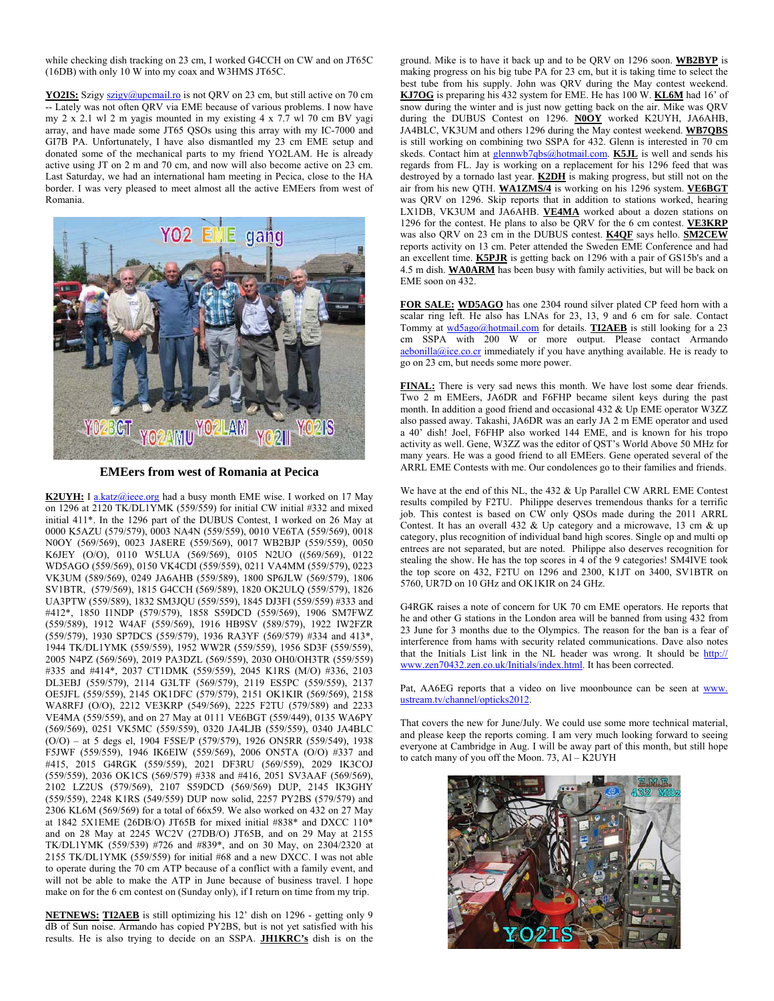while checking dish tracking on 23 cm, I worked G4CCH on CW and on JT65C (16DB) with only 10 W into my coax and W3HMS JT65C.

**YO2IS:** Szigy szigy@upcmail.ro is not QRV on 23 cm, but still active on 70 cm -- Lately was not often ORV via EME because of various problems. I now have my 2 x 2.1 wl 2 m yagis mounted in my existing 4 x 7.7 wl 70 cm BV yagi array, and have made some JT65 QSOs using this array with my IC-7000 and GI7B PA. Unfortunately, I have also dismantled my 23 cm EME setup and donated some of the mechanical parts to my friend YO2LAM. He is already active using JT on 2 m and 70 cm, and now will also become active on 23 cm. Last Saturday, we had an international ham meeting in Pecica, close to the HA border. I was very pleased to meet almost all the active EMEers from west of Romania.



**EMEers from west of Romania at Pecica** 

**K2UYH:** I a.katz@ieee.org had a busy month EME wise. I worked on 17 May on 1296 at 2120 TK/DL1YMK (559/559) for initial CW initial #332 and mixed initial 411\*. In the 1296 part of the DUBUS Contest, I worked on 26 May at 0000 K5AZU (579/579), 0003 NA4N (559/559), 0010 VE6TA (559/569), 0018 N0OY (569/569), 0023 JA8ERE (559/569), 0017 WB2BJP (559/559), 0050 K6JEY (O/O), 0110 W5LUA (569/569), 0105 N2UO ((569/569), 0122 WD5AGO (559/569), 0150 VK4CDI (559/559), 0211 VA4MM (559/579), 0223 VK3UM (589/569), 0249 JA6AHB (559/589), 1800 SP6JLW (569/579), 1806 SV1BTR, (579/569), 1815 G4CCH (569/589), 1820 OK2ULQ (559/579), 1826 UA3PTW (559/589), 1832 SM3JQU (559/559), 1845 DJ3FI (559/559) #333 and #412\*, 1850 I1NDP (579/579), 1858 S59DCD (559/569), 1906 SM7FWZ (559/589), 1912 W4AF (559/569), 1916 HB9SV (589/579), 1922 IW2FZR (559/579), 1930 SP7DCS (559/579), 1936 RA3YF (569/579) #334 and 413\*, 1944 TK/DL1YMK (559/559), 1952 WW2R (559/559), 1956 SD3F (559/559), 2005 N4PZ (569/569), 2019 PA3DZL (569/559), 2030 OH0/OH3TR (559/559) #335 and #414\*, 2037 CT1DMK (559/559), 2045 K1RS (M/O) #336, 2103 DL3EBJ (559/579), 2114 G3LTF (569/579), 2119 ES5PC (559/559), 2137 OE5JFL (559/559), 2145 OK1DFC (579/579), 2151 OK1KIR (569/569), 2158 WA8RFJ (O/O), 2212 VE3KRP (549/569), 2225 F2TU (579/589) and 2233 VE4MA (559/559), and on 27 May at 0111 VE6BGT (559/449), 0135 WA6PY (569/569), 0251 VK5MC (559/559), 0320 JA4LJB (559/559), 0340 JA4BLC (O/O) – at 5 degs el, 1904 F5SE/P (579/579), 1926 ON5RR (559/549), 1938 F5JWF (559/559), 1946 IK6EIW (559/569), 2006 ON5TA (O/O) #337 and #415, 2015 G4RGK (559/559), 2021 DF3RU (569/559), 2029 IK3COJ (559/559), 2036 OK1CS (569/579) #338 and #416, 2051 SV3AAF (569/569), 2102 LZ2US (579/569), 2107 S59DCD (569/569) DUP, 2145 IK3GHY (559/559), 2248 K1RS (549/559) DUP now solid, 2257 PY2BS (579/579) and 2306 KL6M (569/569) for a total of 66x59. We also worked on 432 on 27 May at 1842 5X1EME (26DB/O) JT65B for mixed initial #838\* and DXCC 110\* and on 28 May at 2245 WC2V (27DB/O) JT65B, and on 29 May at 2155 TK/DL1YMK (559/539) #726 and #839\*, and on 30 May, on 2304/2320 at 2155 TK/DL1YMK (559/559) for initial #68 and a new DXCC. I was not able to operate during the 70 cm ATP because of a conflict with a family event, and will not be able to make the ATP in June because of business travel. I hope make on for the 6 cm contest on (Sunday only), if I return on time from my trip.

**NETNEWS: TI2AEB** is still optimizing his 12' dish on 1296 - getting only 9 dB of Sun noise. Armando has copied PY2BS, but is not yet satisfied with his results. He is also trying to decide on an SSPA. **JH1KRC's** dish is on the

ground. Mike is to have it back up and to be QRV on 1296 soon. **WB2BYP** is making progress on his big tube PA for 23 cm, but it is taking time to select the best tube from his supply. John was QRV during the May contest weekend. **KJ7OG** is preparing his 432 system for EME. He has 100 W. **KL6M** had 16' of snow during the winter and is just now getting back on the air. Mike was ORV during the DUBUS Contest on 1296. **N0OY** worked K2UYH, JA6AHB, JA4BLC, VK3UM and others 1296 during the May contest weekend. **WB7QBS** is still working on combining two SSPA for 432. Glenn is interested in 70 cm skeds. Contact him at glennwb7qbs@hotmail.com. **K5JL** is well and sends his regards from FL. Jay is working on a replacement for his 1296 feed that was destroyed by a tornado last year. **K2DH** is making progress, but still not on the air from his new QTH. **WA1ZMS/4** is working on his 1296 system. **VE6BGT** was QRV on 1296. Skip reports that in addition to stations worked, hearing LX1DB, VK3UM and JA6AHB. **VE4MA** worked about a dozen stations on 1296 for the contest. He plans to also be QRV for the 6 cm contest. **VE3KRP** was also QRV on 23 cm in the DUBUS contest. **K4QF** says hello. **SM2CEW** reports activity on 13 cm. Peter attended the Sweden EME Conference and had an excellent time. **K5PJR** is getting back on 1296 with a pair of GS15b's and a 4.5 m dish. **WA0ARM** has been busy with family activities, but will be back on EME soon on 432.

**FOR SALE: WD5AGO** has one 2304 round silver plated CP feed horn with a scalar ring left. He also has LNAs for 23, 13, 9 and 6 cm for sale. Contact Tommy at wd5ago@hotmail.com for details. **TI2AEB** is still looking for a 23 cm SSPA with 200 W or more output. Please contact Armando aebonilla@ice.co.cr immediately if you have anything available. He is ready to go on 23 cm, but needs some more power.

**FINAL:** There is very sad news this month. We have lost some dear friends. Two 2 m EMEers, JA6DR and F6FHP became silent keys during the past month. In addition a good friend and occasional 432 & Up EME operator W3ZZ also passed away. Takashi, JA6DR was an early JA 2 m EME operator and used a 40' dish! Joel, F6FHP also worked 144 EME, and is known for his tropo activity as well. Gene, W3ZZ was the editor of QST's World Above 50 MHz for many years. He was a good friend to all EMEers. Gene operated several of the ARRL EME Contests with me. Our condolences go to their families and friends.

We have at the end of this NL, the 432 & Up Parallel CW ARRL EME Contest results compiled by F2TU. Philippe deserves tremendous thanks for a terrific job. This contest is based on CW only QSOs made during the 2011 ARRL Contest. It has an overall 432 & Up category and a microwave, 13 cm & up category, plus recognition of individual band high scores. Single op and multi op entrees are not separated, but are noted. Philippe also deserves recognition for stealing the show. He has the top scores in 4 of the 9 categories! SM4IVE took the top score on 432, F2TU on 1296 and 2300, K1JT on 3400, SV1BTR on 5760, UR7D on 10 GHz and OK1KIR on 24 GHz.

G4RGK raises a note of concern for UK 70 cm EME operators. He reports that he and other G stations in the London area will be banned from using 432 from 23 June for 3 months due to the Olympics. The reason for the ban is a fear of interference from hams with security related communications. Dave also notes that the Initials List link in the NL header was wrong. It should be http:// www.zen70432.zen.co.uk/Initials/index.html. It has been corrected.

Pat, AA6EG reports that a video on live moonbounce can be seen at www. ustream.tv/channel/opticks2012.

That covers the new for June/July. We could use some more technical material, and please keep the reports coming. I am very much looking forward to seeing everyone at Cambridge in Aug. I will be away part of this month, but still hope to catch many of you off the Moon. 73, Al –  $K2UVH$ 

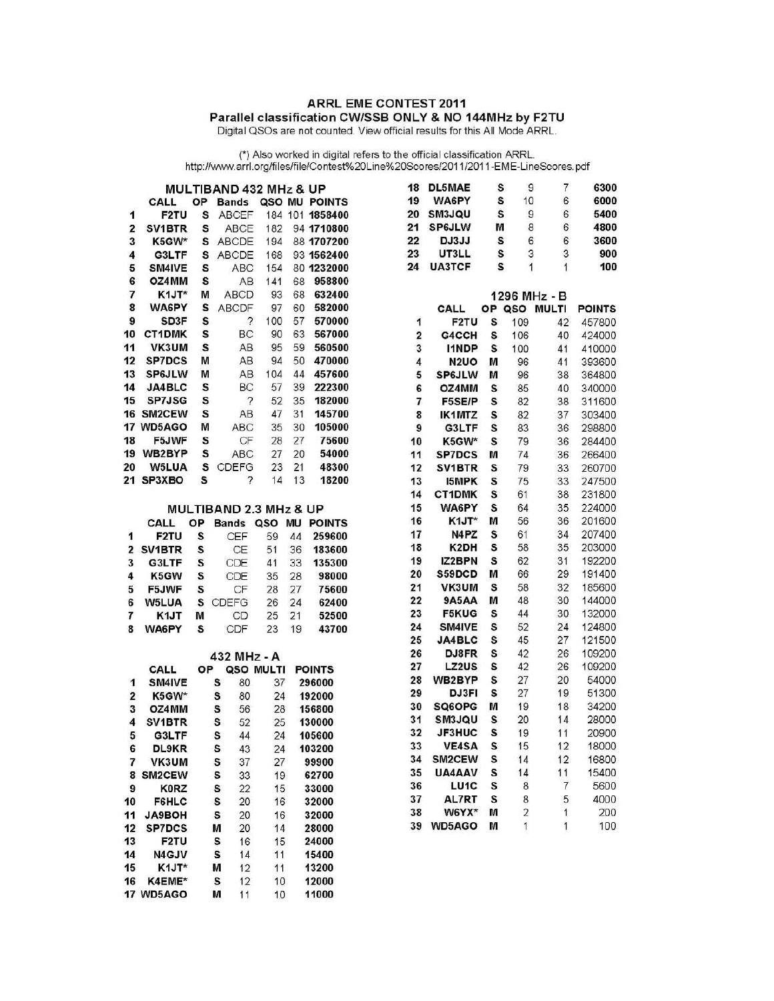# ARRL EME CONTEST 2011 Parallel classification CW/SSB ONLY & NO 144MHz by F2TU<br>Digital QSOs are not counted. View official results for this All Mode ARRL.

(\*) Also worked in digital refers to the official classification ARRL.<br>http://www.arrl.org/files/file/Contest%20Line%20Scores/2011/2011-EME-LineScores.pdf

|                | <b>MULTIBAND 432 MHz &amp; UP</b> |    |              |        |     |               |
|----------------|-----------------------------------|----|--------------|--------|-----|---------------|
|                | CALL                              | ОP | Bands        | QSO MU |     | <b>POINTS</b> |
| 1              | <b>F2TU</b>                       | s  | ABCEF        | 184    |     | 101 1858400   |
| $\overline{2}$ | SV <sub>1</sub> BTR               | s  | <b>ABCF</b>  | 182    |     | 94 1710800    |
| 3              | K5GW*                             | S  | ABCDE        | 194    |     | 88 1707200    |
| 4              | G3LTF                             | S  | <b>ABCDE</b> | 168    |     | 93 1562400    |
| 5              | <b>SM4IVE</b>                     | S  | ABC          | 154    | 80. | 1232000       |
| 6              | OZ4MM                             | S  | AB           | 141    | 68  | 958800        |
| $\overline{1}$ | K1JT*                             | м  | <b>ABCD</b>  | 93     | 68  | 632400        |
| 8              | <b>WA6PY</b>                      | s  | <b>ABCDF</b> | 97     | 60  | 582000        |
| 9              | <b>SD3F</b>                       | S  | ?            | 100    | 57  | 570000        |
| 10             | CT1DMK                            | S  | BC.          | 90     | 63  | 567000        |
| 11             | VK3UM                             | S  | AB           | 95     | 59  | 560500        |
| 12             | <b>SP7DCS</b>                     | м  | AВ           | 94     | 50  | 470000        |
| 13             | <b>SP6JLW</b>                     | м  | AB           | 104    | 44  | 457600        |
| 14             | <b>JA4BLC</b>                     | s  | ВC           | 57     | 39  | 222300        |
| 15             | <b>SP7JSG</b>                     | S  | ?            | 52     | 35  | 182000        |
| 16             | SM2CEW                            | s  | AB           | 47     | 31  | 145700        |
| 17             | <b>WD5AGO</b>                     | м  | <b>ABC</b>   | 35     | 30  | 105000        |
| 18             | F5JWF                             | s  | CF           | 28     | 27  | 75600         |
| 19             | WB2BYP                            | S  | ABC          | 27     | 20  | 54000         |
| 20             | <b>W5LUA</b>                      | s  | CDEFG        | 23     | 21  | 48300         |
| 21             | SP3XBO                            | s  | ?            | 14     | 13  | 18200         |

## MULTIBAND 2.3 MHz & UP

|   | CALL         | ОP | <b>Bands</b> | QSO MU |    | <b>POINTS</b> |
|---|--------------|----|--------------|--------|----|---------------|
| 1 | <b>F2TU</b>  | s  | CEF          | 59     | 44 | 259600        |
|   | 2 SV1BTR     | s  | <b>CE</b>    | 51     | 36 | 183600        |
| 3 | G3LTF        | s  | CDE          | 41     | 33 | 135300        |
| 4 | K5GW         | s  | CDE          | 35     | 28 | 98000         |
| 5 | F5JWF        | S  | CF           | 28     | 27 | 75600         |
| 6 | <b>W5LUA</b> | s  | CDEFG        | 26     | 24 | 62400         |
| 7 | K1JT         | М  | CD           | 25     | 21 | 52500         |
| 8 | <b>WA6PY</b> | s  | CDF          | 23     | 19 | 43700         |

#### 432 MHz - A

|    | CALL          | ОΡ | oso | <b>MULTI</b> | <b>POINTS</b> |
|----|---------------|----|-----|--------------|---------------|
| 1  | <b>SM4IVE</b> | s  | 80  | 37           | 296000        |
| 2  | K5GW*         | s  | 80  | 24           | 192000        |
| 3  | OZ4MM         | s  | 56  | 28           | 156800        |
| 4  | <b>SV1BTR</b> | s  | 52  | 25           | 130000        |
| 5  | G3LTF         | S  | 44  | 24           | 105600        |
| 6  | DL9KR         | s  | 43  | 24           | 103200        |
| 7  | <b>VK3UM</b>  | s  | 37  | 27           | 99900         |
| 8  | <b>SM2CEW</b> | s  | 33  | 19           | 62700         |
| 9  | <b>K0RZ</b>   | s  | 22  | 15           | 33000         |
| 10 | <b>F6HLC</b>  | s  | 20  | 16           | 32000         |
| 11 | <b>JA9BOH</b> | s  | 20  | 16           | 32000         |
| 12 | <b>SP7DCS</b> | М  | 20  | 14           | 28000         |
| 13 | <b>F2TU</b>   | S  | 16  | 15           | 24000         |
| 14 | <b>N4GJV</b>  | s  | 14  | 11           | 15400         |
| 15 | K1JT*         | M  | 12  | 11           | 13200         |
| 16 | K4EME*        | s  | 12  | 10           | 12000         |
| 17 | <b>WD5AGO</b> | м  | 11  | 10           | 11000         |

| 18 | <b>DL5MAE</b>         | s  | 9                   | 7            | 6300          |
|----|-----------------------|----|---------------------|--------------|---------------|
| 19 | <b>WA6PY</b>          | S  | 10                  | 6            | 6000          |
| 20 | SM3JQU                | S  | 9                   | 6            | 5400          |
| 21 | <b>SP6JLW</b>         | м  | 8                   | 6            | 4800          |
| 22 | DJ3JJ                 | S  | 6                   | 6            | 3600          |
| 23 | <b>UT3LL</b>          | S  | 3                   | 3            | 900           |
| 24 | <b>UA3TCF</b>         | S  | 1                   | 1            | 100           |
|    |                       |    | 1296 MHz - B        |              |               |
|    | CALL                  | ОP | QSO                 | <b>MULTI</b> | <b>POINTS</b> |
| 1  | F <sub>2</sub> TU     | S  | 109                 | 42           | 457800        |
| 2  | G4CCH                 | S  | 106                 | 40           | 424000        |
| 3  | <b>I1NDP</b>          | S  | 100                 | 41           | 410000        |
| 4  | <b>N2UO</b>           | М  | 96                  | 41           | 393600        |
| 5  | <b>SP6JLW</b>         | M  | 96                  | 38           | 364800        |
| 6  | OZ4MM                 | S  | 85                  | 40           | 340000        |
| 7  | <b>F5SE/P</b>         | S  | 82                  | 38           | 311600        |
| 8  | <b>IK1MTZ</b>         | s  | 82                  | 37           | 303400        |
| 9  | G3LTF                 | S  | 83                  | 36           | 298800        |
| 10 | K5GW*                 | s  | 79                  | 36           | 284400        |
| 11 | <b>SP7DCS</b>         | M  | 74                  | 36           | 266400        |
| 12 | <b>SV1BTR</b>         | s  | 79                  | 33           | 260700        |
| 13 | <b>I5MPK</b>          | S  | 75                  | 33           | 247500        |
| 14 | <b>CT1DMK</b>         | s  | 61                  | 38           | 231800        |
| 15 | <b>WA6PY</b>          | s  | 64                  | 35           | 224000        |
| 16 | K1JT*                 | м  | 56                  | 36           | 201600        |
| 17 | N4PZ                  | Ś  | 61                  | 34           | 207400        |
| 18 | K2DH                  | s  | 58                  | 35           | 203000        |
| 19 | <b>IZ2BPN</b>         | S  | 62                  | 31           | 192200        |
| 20 | S59DCD                | м  | 66                  | 29           | 191400        |
| 21 | VK3UM                 | Š  | 58                  | 32           | 185600        |
| 22 | <b>9A5AA</b>          | M  | 48                  | 30           | 144000        |
| 23 | <b>F5KUG</b>          | S  | 44                  | 30           | 132000        |
| 24 | SM4IVE                | s  | 52                  | 24           | 124800        |
| 25 | <b>JA4BLC</b>         | S  | 45                  | 27           | 121500        |
| 26 | DJ8FR                 | s  | 42                  | 26           | 109200        |
| 27 | <b>LZ2US</b>          | s  | 42                  | 26           | 109200        |
| 28 | WB2BYP                | S  | 27                  | 20           | 54000         |
| 29 | DJ3FI                 | S  | 27                  | 19           | 51300         |
| 30 | SQ6OPG                | M  | 19                  | 18           | 34200         |
| 31 | <b>SM3JQU</b>         | S  | 20                  | 14           | 28000         |
| 32 | <b>JF3HUC</b>         | S  | 19                  | 11           | 20900         |
| 33 | <b>VE4SA</b>          | S  | 15                  | 12           | 18000         |
| 34 | SM2CEW                | S  | 14                  | 12           | 16800         |
| 35 | UA4AAV                | S  | 14                  | 11           | 15400         |
| 36 | LU <sub>1</sub> C     | S  | 8                   | 7            | 5600          |
| 37 | <b>AL7RT</b><br>W6YX* | s  | 8<br>$\overline{2}$ | 5            | 4000<br>200   |
| 38 |                       | м  | 1                   | 1<br>1       |               |
| 39 | <b>WD5AGO</b>         | м  |                     |              | 100           |